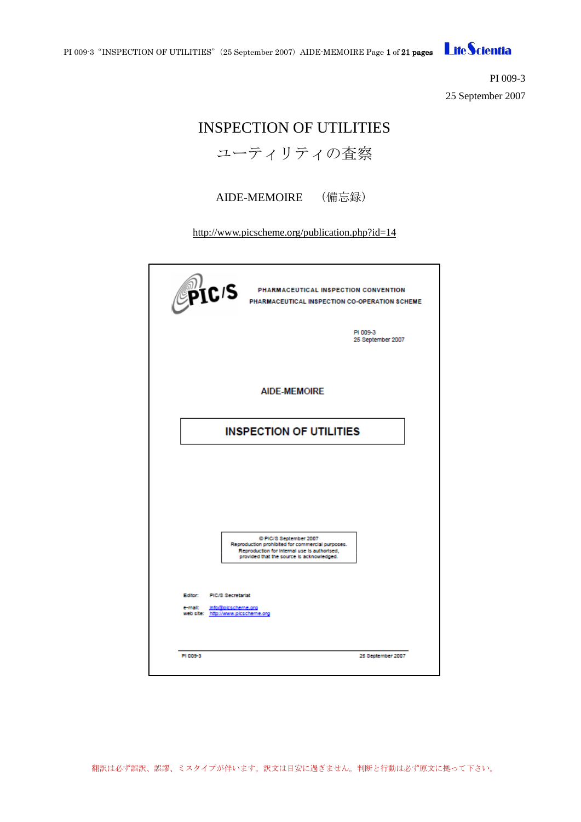

PI 009-3 25 September 2007

# INSPECTION OF UTILITIES

ユーティリティの査察

AIDE-MEMOIRE (備忘録)

<http://www.picscheme.org/publication.php?id=14>

| pic/S                                                                                            | PHARMACEUTICAL INSPECTION CONVENTION<br>PHARMACEUTICAL INSPECTION CO-OPERATION SCHEME                                                                                   |
|--------------------------------------------------------------------------------------------------|-------------------------------------------------------------------------------------------------------------------------------------------------------------------------|
|                                                                                                  | PI 009-3<br>25 September 2007                                                                                                                                           |
|                                                                                                  | <b>AIDE-MEMOIRE</b>                                                                                                                                                     |
|                                                                                                  | <b>INSPECTION OF UTILITIES</b>                                                                                                                                          |
|                                                                                                  |                                                                                                                                                                         |
|                                                                                                  |                                                                                                                                                                         |
|                                                                                                  | @ PIC/S September 2007<br>Reproduction prohibited for commercial purposes.<br>Reproduction for internal use is authorised,<br>provided that the source is acknowledged. |
| Editor: PIC/S Secretariat<br>e-mail:<br>info@picscheme.org<br>web site: http://www.picscheme.org |                                                                                                                                                                         |
| PI 009-3                                                                                         | 25 September 2007                                                                                                                                                       |

翻訳は必ず誤訳、誤謬、ミスタイプが伴います。訳文は目安に過ぎません。判断と行動は必ず原文に拠って下さい。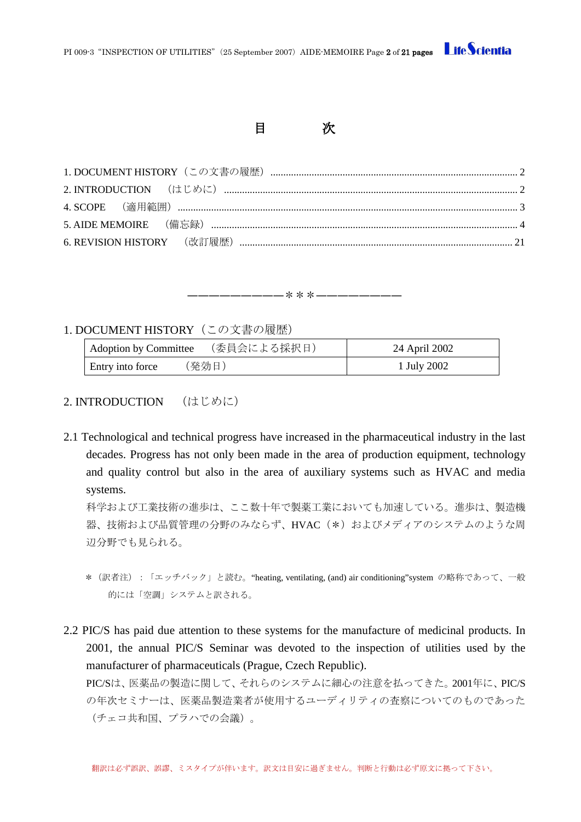

―――――――――\*\*\*――――――――

### <span id="page-1-0"></span>1. DOCUMENT HISTORY (この文書の履歴)

| <b>Adoption by Committee</b> | (委員会による採択日) | 24 April 2002 |
|------------------------------|-------------|---------------|
| Entry into force             | (発効日)       | 1 July 2002   |

## <span id="page-1-1"></span>2. INTRODUCTION (はじめに)

2.1 Technological and technical progress have increased in the pharmaceutical industry in the last decades. Progress has not only been made in the area of production equipment, technology and quality control but also in the area of auxiliary systems such as HVAC and media systems.

科学および工業技術の進歩は、ここ数十年で製薬工業においても加速している。進歩は、製造機 器、技術および品質管理の分野のみならず、HVAC (\*) およびメディアのシステムのような周 辺分野でも見られる。

- \*(訳者注):「エッチバック」と読む。"heating, ventilating, (and) air conditioning"system の略称であって、一般 的には「空調」システムと訳される。
- 2.2 PIC/S has paid due attention to these systems for the manufacture of medicinal products. In 2001, the annual PIC/S Seminar was devoted to the inspection of utilities used by the manufacturer of pharmaceuticals (Prague, Czech Republic). PIC/Sは、医薬品の製造に関して、それらのシステムに細心の注意を払ってきた。2001年に、PIC/S の年次セミナーは、医薬品製造業者が使用するユーディリティの査察についてのものであった (チェコ共和国、プラハでの会議)。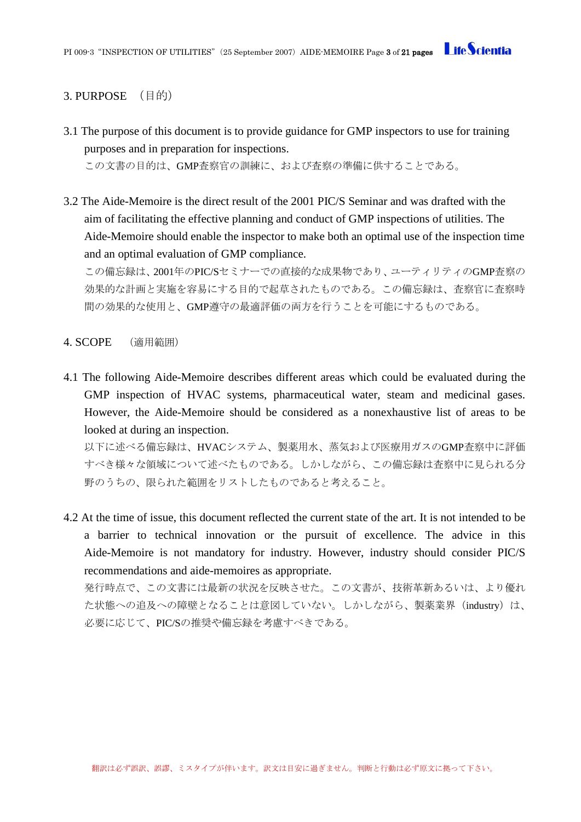#### 3. PURPOSE (目的)

3.1 The purpose of this document is to provide guidance for GMP inspectors to use for training purposes and in preparation for inspections.

この文書の目的は、GMP査察官の訓練に、および査察の準備に供することである。

3.2 The Aide-Memoire is the direct result of the 2001 PIC/S Seminar and was drafted with the aim of facilitating the effective planning and conduct of GMP inspections of utilities. The Aide-Memoire should enable the inspector to make both an optimal use of the inspection time and an optimal evaluation of GMP compliance.

この備忘録は、2001年のPIC/Sセミナーでの直接的な成果物であり、ユーティリティのGMP査察の 効果的な計画と実施を容易にする目的で起草されたものである。この備忘録は、査察官に査察時 間の効果的な使用と、GMP遵守の最適評価の両方を行うことを可能にするものである。

#### <span id="page-2-0"></span>4. SCOPE (適用範囲)

4.1 The following Aide-Memoire describes different areas which could be evaluated during the GMP inspection of HVAC systems, pharmaceutical water, steam and medicinal gases. However, the Aide-Memoire should be considered as a nonexhaustive list of areas to be looked at during an inspection.

以下に述べる備忘録は、HVACシステム、製薬用水、蒸気および医療用ガスのGMP査察中に評価 すべき様々な領域について述べたものである。しかしながら、この備忘録は査察中に見られる分 野のうちの、限られた範囲をリストしたものであると考えること。

4.2 At the time of issue, this document reflected the current state of the art. It is not intended to be a barrier to technical innovation or the pursuit of excellence. The advice in this Aide-Memoire is not mandatory for industry. However, industry should consider PIC/S recommendations and aide-memoires as appropriate.

発行時点で、この文書には最新の状況を反映させた。この文書が、技術革新あるいは、より優れ た状態への追及への障壁となることは意図していない。しかしながら、製薬業界(industry)は、 必要に応じて、PIC/Sの推奨や備忘録を考慮すべきである。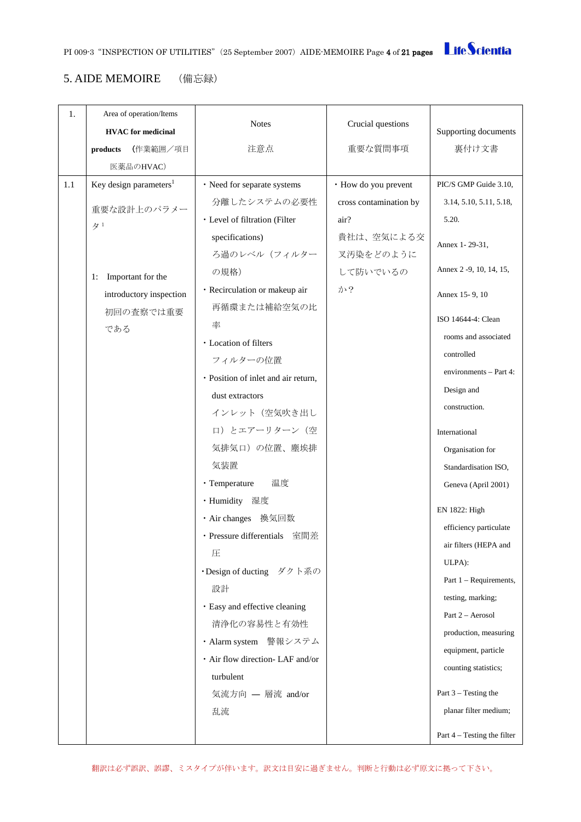

## <span id="page-3-0"></span>5. AIDE MEMOIRE (備忘録)

| 1.  | Area of operation/Items<br><b>HVAC</b> for medicinal | <b>Notes</b>                        | Crucial questions      | Supporting documents          |
|-----|------------------------------------------------------|-------------------------------------|------------------------|-------------------------------|
|     | (作業範囲/項目<br>products                                 | 注意点                                 | 重要な質問事項                | 裏付け文書                         |
|     | 医薬品のHVAC)                                            |                                     |                        |                               |
| 1.1 | Key design parameters $1$                            | · Need for separate systems         | · How do you prevent   | PIC/S GMP Guide 3.10,         |
|     |                                                      | 分離したシステムの必要性                        | cross contamination by | 3.14, 5.10, 5.11, 5.18,       |
|     | 重要な設計上のパラメー                                          | · Level of filtration (Filter       | air?                   | 5.20.                         |
|     | $\mathcal{H}$ <sup>1</sup>                           | specifications)                     | 貴社は、空気による交             |                               |
|     |                                                      | ろ過のレベル (フィルター                       | 叉汚染をどのように              | Annex 1-29-31,                |
|     | Important for the<br>1:                              | の規格)                                | して防いでいるの               | Annex 2 - 9, 10, 14, 15,      |
|     | introductory inspection                              | · Recirculation or makeup air       | か?                     | Annex 15-9, 10                |
|     | 初回の査察では重要                                            | 再循環または補給空気の比                        |                        |                               |
|     | である                                                  | 率                                   |                        | ISO 14644-4: Clean            |
|     |                                                      | · Location of filters               |                        | rooms and associated          |
|     |                                                      | フィルターの位置                            |                        | controlled                    |
|     |                                                      | · Position of inlet and air return, |                        | environments – Part 4:        |
|     |                                                      | dust extractors                     |                        | Design and                    |
|     |                                                      | インレット (空気吹き出し                       |                        | construction.                 |
|     |                                                      | 口) とエアーリターン (空                      |                        | International                 |
|     |                                                      | 気排気口)の位置、塵埃排                        |                        | Organisation for              |
|     |                                                      | 気装置                                 |                        | Standardisation ISO,          |
|     |                                                      | · Temperature<br>温度                 |                        | Geneva (April 2001)           |
|     |                                                      | · Humidity 湿度                       |                        | EN 1822: High                 |
|     |                                                      | · Air changes 換気回数                  |                        | efficiency particulate        |
|     |                                                      | · Pressure differentials 室間差        |                        | air filters (HEPA and         |
|     |                                                      | 圧                                   |                        | ULPA):                        |
|     |                                                      | ·Design of ducting ダクト系の            |                        | Part $1 -$ Requirements,      |
|     |                                                      | 設計                                  |                        | testing, marking;             |
|     |                                                      | · Easy and effective cleaning       |                        | Part 2 - Aerosol              |
|     |                                                      | 清浄化の容易性と有効性                         |                        | production, measuring         |
|     |                                                      | · Alarm system 警報システム               |                        | equipment, particle           |
|     |                                                      | · Air flow direction- LAF and/or    |                        | counting statistics;          |
|     |                                                      | turbulent                           |                        |                               |
|     |                                                      | 気流方向 — 層流 and/or                    |                        | Part $3$ – Testing the        |
|     |                                                      | 乱流                                  |                        | planar filter medium;         |
|     |                                                      |                                     |                        | Part $4$ – Testing the filter |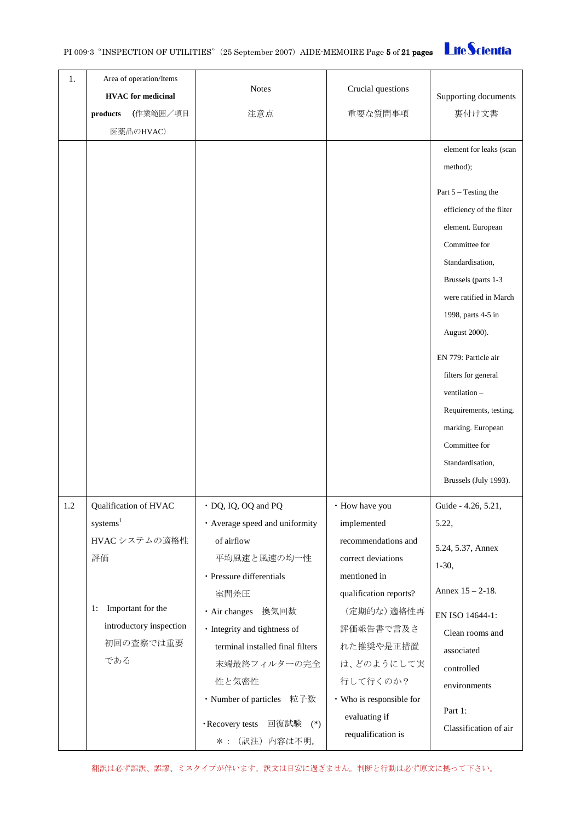

| 1.  | Area of operation/Items<br><b>HVAC</b> for medicinal<br>(作業範囲/項目<br>products<br>医薬品のHVAC)                                                      | <b>Notes</b><br>注意点                                                                                                                                                                                                                                                                                                               | Crucial questions<br>重要な質問事項                                                                                                                                                                                                                              | Supporting documents<br>裏付け文書                                                                                                                                                                                                                                                                                                                                                                                          |
|-----|------------------------------------------------------------------------------------------------------------------------------------------------|-----------------------------------------------------------------------------------------------------------------------------------------------------------------------------------------------------------------------------------------------------------------------------------------------------------------------------------|-----------------------------------------------------------------------------------------------------------------------------------------------------------------------------------------------------------------------------------------------------------|------------------------------------------------------------------------------------------------------------------------------------------------------------------------------------------------------------------------------------------------------------------------------------------------------------------------------------------------------------------------------------------------------------------------|
|     |                                                                                                                                                |                                                                                                                                                                                                                                                                                                                                   |                                                                                                                                                                                                                                                           | element for leaks (scan<br>method);<br>Part 5 - Testing the<br>efficiency of the filter<br>element. European<br>Committee for<br>Standardisation,<br>Brussels (parts 1-3<br>were ratified in March<br>1998, parts 4-5 in<br>August 2000).<br>EN 779: Particle air<br>filters for general<br>ventilation -<br>Requirements, testing,<br>marking. European<br>Committee for<br>Standardisation,<br>Brussels (July 1993). |
| 1.2 | Qualification of HVAC<br>systems <sup>1</sup><br>HVAC システムの適格性<br>評価<br>Important for the<br>1:<br>introductory inspection<br>初回の査察では重要<br>である | $\cdot$ DO, IO, OO and PO<br>· Average speed and uniformity<br>of airflow<br>平均風速と風速の均一性<br>· Pressure differentials<br>室間差圧<br>· Air changes 換気回数<br>· Integrity and tightness of<br>terminal installed final filters<br>末端最終フィルターの完全<br>性と気密性<br>· Number of particles 粒子数<br>· Recovery tests<br>回復試験 (*)<br>*: (訳注)<br>内容は不明。 | • How have you<br>implemented<br>recommendations and<br>correct deviations<br>mentioned in<br>qualification reports?<br>(定期的な)適格性再<br>評価報告書で言及さ<br>れた推奨や是正措置<br>は、どのようにして実<br>行して行くのか?<br>• Who is responsible for<br>evaluating if<br>requalification is | Guide - 4.26, 5.21,<br>5.22,<br>5.24, 5.37, Annex<br>$1-30,$<br>Annex $15 - 2 - 18$ .<br>EN ISO 14644-1:<br>Clean rooms and<br>associated<br>controlled<br>environments<br>Part 1:<br>Classification of air                                                                                                                                                                                                            |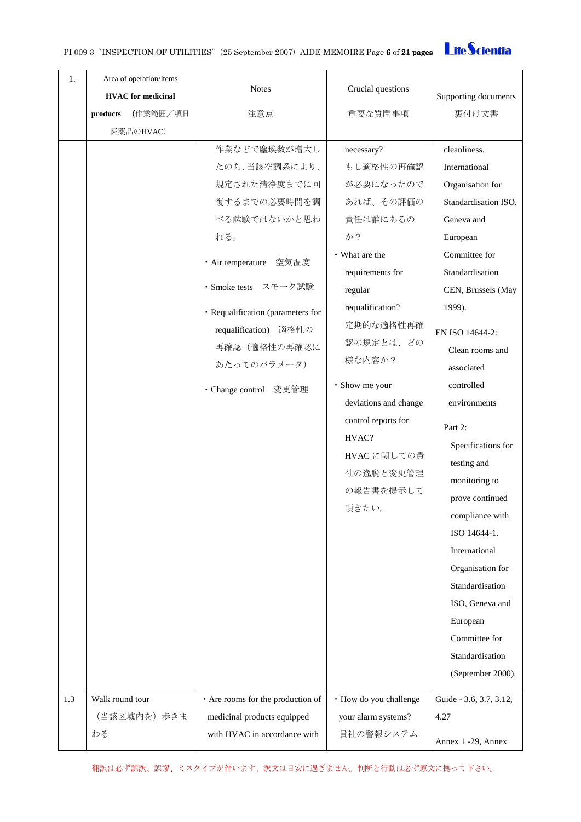| 1.  | Area of operation/Items<br><b>HVAC</b> for medicinal<br>(作業範囲/項目<br>products<br>医薬品のHVAC) | <b>Notes</b><br>注意点<br>作業などで塵埃数が増大し<br>たのち、当該空調系により、<br>規定された清浄度までに回<br>復するまでの必要時間を調<br>べる試験ではないかと思わ<br>れる。<br>· Air temperature 空気温度<br>· Smoke tests スモーク試験<br>· Requalification (parameters for<br>requalification) 適格性の<br>再確認(適格性の再確認に<br>あたってのパラメータ)<br>· Change control 変更管理 | Crucial questions<br>重要な質問事項<br>necessary?<br>もし適格性の再確認<br>が必要になったので<br>あれば、その評価の<br>責任は誰にあるの<br>か?<br>• What are the<br>requirements for<br>regular<br>requalification?<br>定期的な適格性再確<br>認の規定とは、どの<br>様な内容か?<br>· Show me your<br>deviations and change<br>control reports for<br>HVAC?<br>HVACに関しての貴 | Supporting documents<br>裏付け文書<br>cleanliness.<br>International<br>Organisation for<br>Standardisation ISO,<br>Geneva and<br>European<br>Committee for<br>Standardisation<br>CEN, Brussels (May<br>1999).<br>EN ISO 14644-2:<br>Clean rooms and<br>associated<br>controlled<br>environments<br>Part 2:<br>Specifications for |
|-----|-------------------------------------------------------------------------------------------|-------------------------------------------------------------------------------------------------------------------------------------------------------------------------------------------------------------------------------------------------------------------------------------|-------------------------------------------------------------------------------------------------------------------------------------------------------------------------------------------------------------------------------------------------------------------------------------------------------|-----------------------------------------------------------------------------------------------------------------------------------------------------------------------------------------------------------------------------------------------------------------------------------------------------------------------------|
|     |                                                                                           |                                                                                                                                                                                                                                                                                     | の報告書を提示して<br>頂きたい。                                                                                                                                                                                                                                                                                    | monitoring to<br>prove continued<br>compliance with<br>ISO 14644-1.<br>International<br>Organisation for<br>Standardisation<br>ISO, Geneva and<br>European<br>Committee for<br>Standardisation<br>(September 2000).                                                                                                         |
| 1.3 | Walk round tour<br>(当該区域内を)歩きま<br>わる                                                      | · Are rooms for the production of<br>medicinal products equipped<br>with HVAC in accordance with                                                                                                                                                                                    | · How do you challenge<br>your alarm systems?<br>貴社の警報システム                                                                                                                                                                                                                                            | Guide - 3.6, 3.7, 3.12,<br>4.27<br>Annex 1 -29, Annex                                                                                                                                                                                                                                                                       |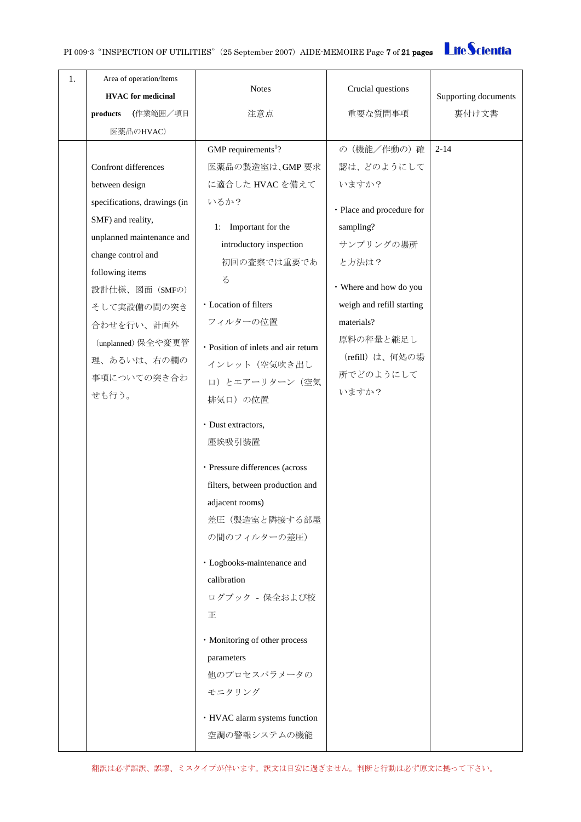

| GMP requirements <sup>1</sup> ?<br>$2 - 14$<br>の (機能/作動の)確<br>医薬品の製造室は、GMP 要求<br>認は、どのようにして<br>Confront differences<br>に適合した HVAC を備えて<br>いますか?<br>between design<br>いるか?<br>specifications, drawings (in<br>· Place and procedure for<br>SMF) and reality,<br>Important for the<br>sampling?<br>1:<br>unplanned maintenance and<br>サンプリングの場所<br>introductory inspection<br>change control and<br>初回の査察では重要であ<br>と方法は?<br>following items<br>る<br>• Where and how do you<br>設計仕様、図面 (SMFの)<br>· Location of filters<br>weigh and refill starting<br>そして実設備の間の突き<br>フィルターの位置<br>materials?<br>合わせを行い、計画外<br>原料の秤量と継足し<br>(unplanned) 保全や変更管<br>· Position of inlets and air return<br>(refill) は、何処の場<br>理、あるいは、右の欄の<br>インレット (空気吹き出し<br>所でどのようにして<br>事項についての突き合わ<br>口) とエアーリターン (空気<br>いますか?<br>せも行う。<br>排気口)の位置<br>· Dust extractors,<br>塵埃吸引装置<br>· Pressure differences (across<br>filters, between production and<br>adjacent rooms)<br>差圧(製造室と隣接する部屋<br>の間のフィルターの差圧)<br>· Logbooks-maintenance and<br>calibration<br>ログブック - 保全および校<br>正<br>· Monitoring of other process<br>parameters<br>他のプロセスパラメータの<br>モニタリング<br>· HVAC alarm systems function | 1. | Area of operation/Items<br><b>HVAC</b> for medicinal<br>(作業範囲/項目<br>products<br>医薬品のHVAC) | <b>Notes</b><br>注意点 | Crucial questions<br>重要な質問事項 | Supporting documents<br>裏付け文書 |
|---------------------------------------------------------------------------------------------------------------------------------------------------------------------------------------------------------------------------------------------------------------------------------------------------------------------------------------------------------------------------------------------------------------------------------------------------------------------------------------------------------------------------------------------------------------------------------------------------------------------------------------------------------------------------------------------------------------------------------------------------------------------------------------------------------------------------------------------------------------------------------------------------------------------------------------------------------------------------------------------------------------------------------------------------------------------------------------------------------------------------------------------------------|----|-------------------------------------------------------------------------------------------|---------------------|------------------------------|-------------------------------|
|                                                                                                                                                                                                                                                                                                                                                                                                                                                                                                                                                                                                                                                                                                                                                                                                                                                                                                                                                                                                                                                                                                                                                         |    |                                                                                           | 空調の警報システムの機能        |                              |                               |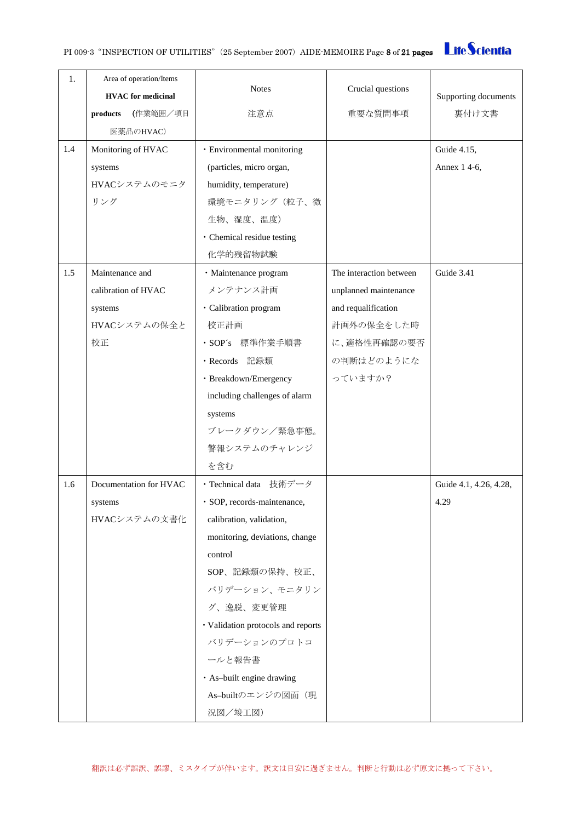

| 1.<br>1.4 | Area of operation/Items<br><b>HVAC</b> for medicinal<br>(作業範囲/項目<br>products<br>医薬品のHVAC)<br>Monitoring of HVAC<br>systems<br>HVACシステムのモニタ<br>リング | <b>Notes</b><br>注意点<br>· Environmental monitoring<br>(particles, micro organ,<br>humidity, temperature)<br>環境モニタリング (粒子、微<br>生物、湿度、温度)                                                                                                                                                                      | Crucial questions<br>重要な質問事項                                                                                                  | Supporting documents<br>裏付け文書<br>Guide 4.15,<br>Annex 1 4-6, |
|-----------|---------------------------------------------------------------------------------------------------------------------------------------------------|-------------------------------------------------------------------------------------------------------------------------------------------------------------------------------------------------------------------------------------------------------------------------------------------------------------|-------------------------------------------------------------------------------------------------------------------------------|--------------------------------------------------------------|
|           |                                                                                                                                                   | · Chemical residue testing<br>化学的残留物試験                                                                                                                                                                                                                                                                      |                                                                                                                               |                                                              |
| 1.5       | Maintenance and<br>calibration of HVAC<br>systems<br>HVACシステムの保全と<br>校正                                                                           | · Maintenance program<br>メンテナンス計画<br>· Calibration program<br>校正計画<br>· SOP's 標準作業手順書<br>· Records 記録類<br>· Breakdown/Emergency<br>including challenges of alarm<br>systems<br>ブレークダウン/緊急事態。<br>警報システムのチャレンジ<br>を含む                                                                                         | The interaction between<br>unplanned maintenance<br>and requalification<br>計画外の保全をした時<br>に、適格性再確認の要否<br>の判断はどのようにな<br>っていますか? | Guide 3.41                                                   |
| 1.6       | Documentation for HVAC<br>systems<br>HVACシステムの文書化                                                                                                 | ・Technical data 技術データ<br>· SOP, records-maintenance,<br>calibration, validation,<br>monitoring, deviations, change<br>control<br>SOP、記録類の保持、校正、<br>バリデーション、モニタリン<br>グ、逸脱、変更管理<br>· Validation protocols and reports<br>バリデーションのプロトコ<br>ールと報告書<br>· As-built engine drawing<br>As-builtのエンジの図面 (現<br>況図/竣工図) |                                                                                                                               | Guide 4.1, 4.26, 4.28,<br>4.29                               |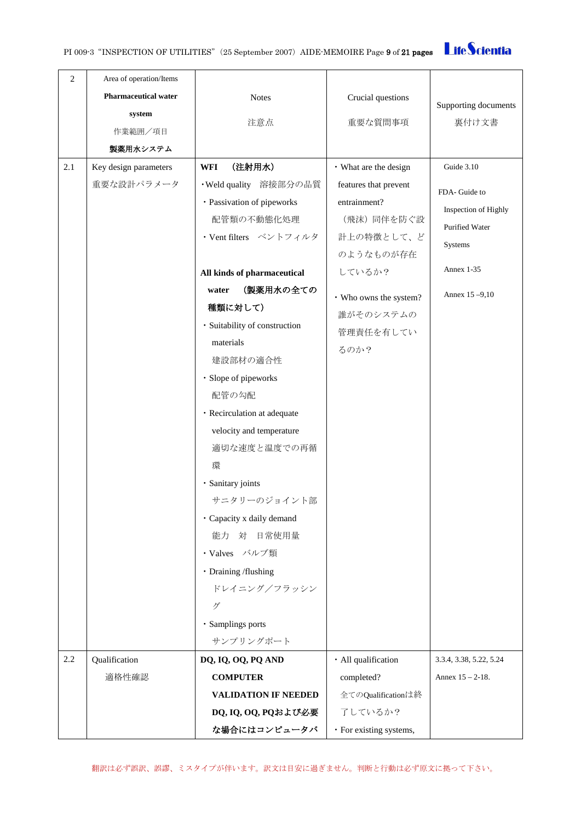

| $\mathbf{2}$ | Area of operation/Items     |                               |                         |                         |
|--------------|-----------------------------|-------------------------------|-------------------------|-------------------------|
|              | <b>Pharmaceutical water</b> | <b>Notes</b>                  | Crucial questions       |                         |
|              | system                      |                               |                         | Supporting documents    |
|              | 作業範囲/項目                     | 注意点                           | 重要な質問事項                 | 裏付け文書                   |
|              | 製薬用水システム                    |                               |                         |                         |
| 2.1          | Key design parameters       | (注射用水)<br><b>WFI</b>          | • What are the design   | Guide 3.10              |
|              | 重要な設計パラメータ                  | ·Weld quality 溶接部分の品質         | features that prevent   | FDA-Guide to            |
|              |                             | · Passivation of pipeworks    | entrainment?            | Inspection of Highly    |
|              |                             | 配管類の不動態化処理                    | (飛沫) 同伴を防ぐ設             | Purified Water          |
|              |                             | ・Vent filters ベントフィルタ         | 計上の特徴として、ど              | Systems                 |
|              |                             |                               | のようなものが存在               |                         |
|              |                             | All kinds of pharmaceutical   | しているか?                  | <b>Annex 1-35</b>       |
|              |                             | (製薬用水の全ての<br>water            | • Who owns the system?  | Annex 15 -9,10          |
|              |                             | 種類に対して)                       | 誰がそのシステムの               |                         |
|              |                             | · Suitability of construction | 管理責任を有してい               |                         |
|              |                             | materials                     | るのか?                    |                         |
|              |                             | 建設部材の適合性                      |                         |                         |
|              |                             | · Slope of pipeworks          |                         |                         |
|              |                             | 配管の勾配                         |                         |                         |
|              |                             | · Recirculation at adequate   |                         |                         |
|              |                             | velocity and temperature      |                         |                         |
|              |                             | 適切な速度と温度での再循                  |                         |                         |
|              |                             | 環                             |                         |                         |
|              |                             | · Sanitary joints             |                         |                         |
|              |                             | サニタリーのジョイント部                  |                         |                         |
|              |                             | · Capacity x daily demand     |                         |                         |
|              |                             | 能力 対<br>日常使用量                 |                         |                         |
|              |                             | · Valves バルブ類                 |                         |                         |
|              |                             | · Draining /flushing          |                         |                         |
|              |                             | ドレイニング/フラッシン                  |                         |                         |
|              |                             | グ                             |                         |                         |
|              |                             | · Samplings ports             |                         |                         |
|              |                             | サンプリングポート                     |                         |                         |
| 2.2          | Qualification               | DQ, IQ, OQ, PQ AND            | · All qualification     | 3.3.4, 3.38, 5.22, 5.24 |
|              | 適格性確認                       | <b>COMPUTER</b>               | completed?              | Annex $15 - 2 - 18$ .   |
|              |                             | <b>VALIDATION IF NEEDED</b>   | 全てのQualificationは終      |                         |
|              |                             | DQ, IQ, OQ, PQおよび必要           | 了しているか?                 |                         |
|              |                             | な場合にはコンピュータバ                  | · For existing systems, |                         |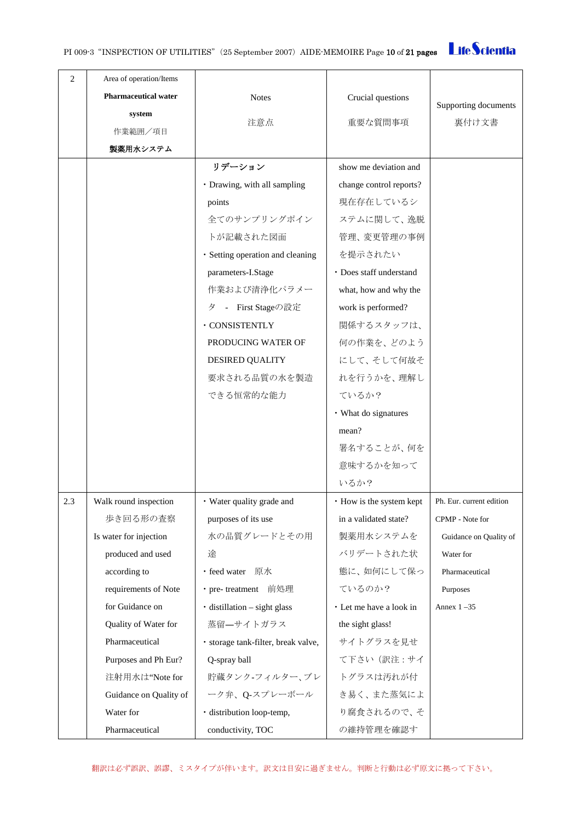| 2   | Area of operation/Items     |                                     |                          |                          |
|-----|-----------------------------|-------------------------------------|--------------------------|--------------------------|
|     | <b>Pharmaceutical water</b> | <b>Notes</b>                        | Crucial questions        |                          |
|     | system                      |                                     |                          | Supporting documents     |
|     | 作業範囲/項目                     | 注意点                                 | 重要な質問事項                  | 裏付け文書                    |
|     | 製薬用水システム                    |                                     |                          |                          |
|     |                             | リデーション                              | show me deviation and    |                          |
|     |                             | · Drawing, with all sampling        | change control reports?  |                          |
|     |                             | points                              | 現在存在しているシ                |                          |
|     |                             | 全てのサンプリングポイン                        | ステムに関して、逸脱               |                          |
|     |                             | トが記載された図面                           | 管理、変更管理の事例               |                          |
|     |                             | · Setting operation and cleaning    | を提示されたい                  |                          |
|     |                             | parameters-I.Stage                  | · Does staff understand  |                          |
|     |                             | 作業および清浄化パラメー                        | what, how and why the    |                          |
|     |                             | - First Stageの設定<br>タ               | work is performed?       |                          |
|     |                             | · CONSISTENTLY                      | 関係するスタッフは、               |                          |
|     |                             | PRODUCING WATER OF                  | 何の作業を、どのよう               |                          |
|     |                             | <b>DESIRED QUALITY</b>              | にして、そして何故そ               |                          |
|     |                             | 要求される品質の水を製造                        | れを行うかを、理解し               |                          |
|     |                             | できる恒常的な能力                           | ているか?                    |                          |
|     |                             |                                     | • What do signatures     |                          |
|     |                             |                                     | mean?                    |                          |
|     |                             |                                     | 署名することが、何を               |                          |
|     |                             |                                     | 意味するかを知って                |                          |
|     |                             |                                     | いるか?                     |                          |
| 2.3 | Walk round inspection       | • Water quality grade and           | • How is the system kept | Ph. Eur. current edition |
|     | 歩き回る形の査察                    | purposes of its use                 | in a validated state?    | CPMP - Note for          |
|     | Is water for injection      | 水の品質グレードとその用                        | 製薬用水システムを                | Guidance on Quality of   |
|     | produced and used           | 涂                                   | バリデートされた状                | Water for                |
|     | according to                | · feed water 原水                     | 態に、如何にして保っ               | Pharmaceutical           |
|     | requirements of Note        | · pre- treatment 前処理                | ているのか?                   | Purposes                 |
|     | for Guidance on             | $\cdot$ distillation – sight glass  | · Let me have a look in  | Annex $1 - 35$           |
|     | Quality of Water for        | 蒸留––サイトガラス                          | the sight glass!         |                          |
|     | Pharmaceutical              | · storage tank-filter, break valve, | サイトグラスを見せ                |                          |
|     | Purposes and Ph Eur?        | Q-spray ball                        | て下さい (訳注:サイ              |                          |
|     | 注射用水は"Note for              | 貯蔵タンク-フィルター、ブレ                      | トグラスは汚れが付                |                          |
|     | Guidance on Quality of      | ーク弁、Q-スプレーボール                       | き易く、また蒸気によ               |                          |
|     | Water for                   | · distribution loop-temp,           | り腐食されるので、そ               |                          |
|     | Pharmaceutical              | conductivity, TOC                   | の維持管理を確認す                |                          |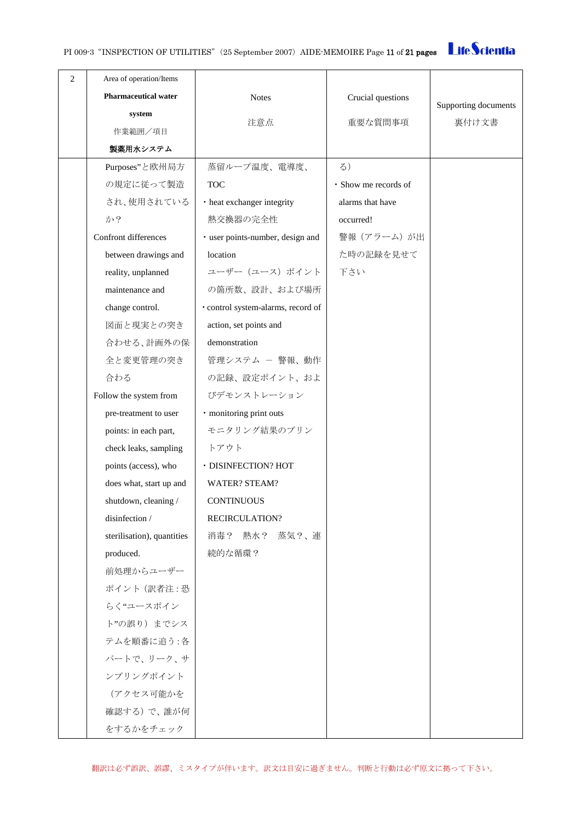| $\overline{c}$ | Area of operation/Items     |                                    |                      |                      |
|----------------|-----------------------------|------------------------------------|----------------------|----------------------|
|                | <b>Pharmaceutical water</b> | <b>Notes</b>                       | Crucial questions    |                      |
|                | system                      |                                    |                      | Supporting documents |
|                | 作業範囲/項目                     | 注意点                                | 重要な質問事項              | 裏付け文書                |
|                | 製薬用水システム                    |                                    |                      |                      |
|                | Purposes"と欧州局方              | 蒸留ループ温度、電導度、                       | る)                   |                      |
|                | の規定に従って製造                   | <b>TOC</b>                         | · Show me records of |                      |
|                | され、使用されている                  | • heat exchanger integrity         | alarms that have     |                      |
|                | か?                          | 熱交換器の完全性                           | occurred!            |                      |
|                | Confront differences        | · user points-number, design and   | 警報 (アラーム)が出          |                      |
|                | between drawings and        | location                           | た時の記録を見せて            |                      |
|                | reality, unplanned          | ユーザー (ユース) ポイント                    | 下さい                  |                      |
|                | maintenance and             | の箇所数、設計、および場所                      |                      |                      |
|                | change control.             | · control system-alarms, record of |                      |                      |
|                | 図面と現実との突き                   | action, set points and             |                      |                      |
|                | 合わせる、計画外の保                  | demonstration                      |                      |                      |
|                | 全と変更管理の突き                   | 管理システム ー 警報、動作                     |                      |                      |
|                | 合わる                         | の記録、設定ポイント、およ                      |                      |                      |
|                | Follow the system from      | びデモンストレーション                        |                      |                      |
|                | pre-treatment to user       | · monitoring print outs            |                      |                      |
|                | points: in each part,       | モニタリング結果のプリン                       |                      |                      |
|                | check leaks, sampling       | トアウト                               |                      |                      |
|                | points (access), who        | · DISINFECTION? HOT                |                      |                      |
|                | does what, start up and     | <b>WATER? STEAM?</b>               |                      |                      |
|                | shutdown, cleaning /        | <b>CONTINUOUS</b>                  |                      |                      |
|                | disinfection /              | RECIRCULATION?                     |                      |                      |
|                | sterilisation), quantities  | 蒸気?、連<br>消毒? 熱水?                   |                      |                      |
|                | produced.                   | 続的な循環?                             |                      |                      |
|                | 前処理からユーザー                   |                                    |                      |                      |
|                | ポイント (訳者注:恐                 |                                    |                      |                      |
|                | らく"ユースポイン                   |                                    |                      |                      |
|                | ト"の誤り)までシス                  |                                    |                      |                      |
|                | テムを順番に追う:各                  |                                    |                      |                      |
|                | パートで、リーク、サ                  |                                    |                      |                      |
|                | ンプリングポイント                   |                                    |                      |                      |
|                | (アクセス可能かを                   |                                    |                      |                      |
|                | 確認する)で、誰が何                  |                                    |                      |                      |
|                | をするかをチェック                   |                                    |                      |                      |

翻訳は必ず誤訳、誤謬、ミスタイプが伴います。訳文は目安に過ぎません。判断と行動は必ず原文に拠って下さい。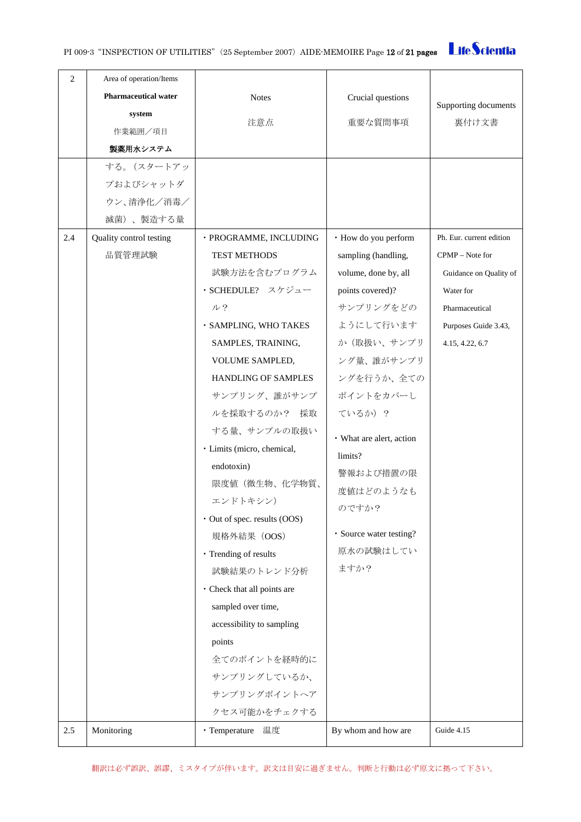PI 009-3 "INSPECTION OF UTILITIES" (25 September 2007) AIDE-MEMOIRE Page 12 of 21 pages

| $\overline{c}$ | Area of operation/Items     |                              |                          |                          |
|----------------|-----------------------------|------------------------------|--------------------------|--------------------------|
|                | <b>Pharmaceutical water</b> | <b>Notes</b>                 | Crucial questions        |                          |
|                | system                      |                              |                          | Supporting documents     |
|                | 作業範囲/項目                     | 注意点                          | 重要な質問事項                  | 裏付け文書                    |
|                | 製薬用水システム                    |                              |                          |                          |
|                | する。(スタートアッ                  |                              |                          |                          |
|                | プおよびシャットダ                   |                              |                          |                          |
|                | ウン、清浄化/消毒/                  |                              |                          |                          |
|                | 滅菌)、製造する量                   |                              |                          |                          |
| 2.4            | Quality control testing     | · PROGRAMME, INCLUDING       | · How do you perform     | Ph. Eur. current edition |
|                | 品質管理試験                      | <b>TEST METHODS</b>          | sampling (handling,      | CPMP - Note for          |
|                |                             | 試験方法を含むプログラム                 | volume, done by, all     | Guidance on Quality of   |
|                |                             | ・SCHEDULE? スケジュー             | points covered)?         | Water for                |
|                |                             | ル?                           | サンプリングをどの                | Pharmaceutical           |
|                |                             | · SAMPLING, WHO TAKES        | ようにして行います                | Purposes Guide 3.43,     |
|                |                             | SAMPLES, TRAINING,           | か (取扱い、サンプリ              | 4.15, 4.22, 6.7          |
|                |                             | VOLUME SAMPLED,              | ング量、誰がサンプリ               |                          |
|                |                             | <b>HANDLING OF SAMPLES</b>   | ングを行うか、全ての               |                          |
|                |                             | サンプリング、誰がサンプ                 | ポイントをカバーし                |                          |
|                |                             | ルを採取するのか? 採取                 | ているか)?                   |                          |
|                |                             | する量、サンプルの取扱い                 | • What are alert, action |                          |
|                |                             | · Limits (micro, chemical,   | limits?                  |                          |
|                |                             | endotoxin)                   | 警報および措置の限                |                          |
|                |                             | 限度値(微生物、化学物質、                | 度値はどのようなも                |                          |
|                |                             | エンドトキシン)                     | のですか?                    |                          |
|                |                             | • Out of spec. results (OOS) |                          |                          |
|                |                             | 規格外結果 (OOS)                  | · Source water testing?  |                          |
|                |                             | · Trending of results        | 原水の試験はしてい                |                          |
|                |                             | 試験結果のトレンド分析                  | ますか?                     |                          |
|                |                             | · Check that all points are  |                          |                          |
|                |                             | sampled over time,           |                          |                          |
|                |                             | accessibility to sampling    |                          |                          |
|                |                             | points                       |                          |                          |
|                |                             | 全てのポイントを経時的に                 |                          |                          |
|                |                             | サンプリングしているか、                 |                          |                          |
|                |                             | サンプリングポイントヘア                 |                          |                          |
|                |                             | クセス可能かをチェクする                 |                          |                          |
| 2.5            | Monitoring                  | · Temperature 温度             | By whom and how are      | Guide 4.15               |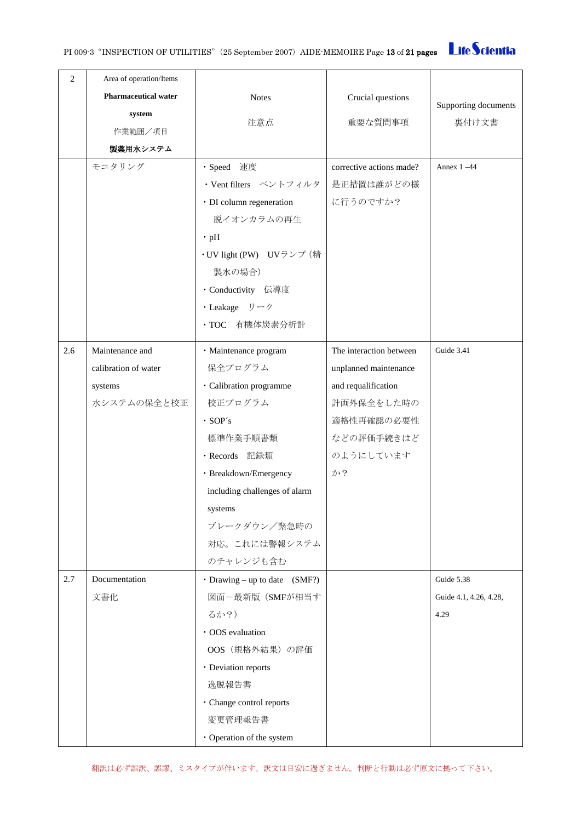| 2   | Area of operation/Items     |                                     |                          |                        |  |
|-----|-----------------------------|-------------------------------------|--------------------------|------------------------|--|
|     | <b>Pharmaceutical water</b> | <b>Notes</b>                        | Crucial questions        |                        |  |
|     | system                      |                                     | Supporting documents     |                        |  |
|     | 作業範囲/項目                     | 注意点                                 | 重要な質問事項                  | 裏付け文書                  |  |
|     | 製薬用水システム                    |                                     |                          |                        |  |
|     | モニタリング                      | · Speed 速度                          | corrective actions made? | Annex $1 -44$          |  |
|     |                             | ・Vent filters ベントフィルタ               | 是正措置は誰がどの様               |                        |  |
|     |                             | · DI column regeneration            | に行うのですか?                 |                        |  |
|     |                             | 脱イオンカラムの再生                          |                          |                        |  |
|     |                             | $\cdot$ pH                          |                          |                        |  |
|     |                             | · UV light (PW) UVランプ (精            |                          |                        |  |
|     |                             | 製水の場合)                              |                          |                        |  |
|     |                             | · Conductivity 伝導度                  |                          |                        |  |
|     |                             | ・Leakage リーク                        |                          |                        |  |
|     |                             | · TOC 有機体炭素分析計                      |                          |                        |  |
| 2.6 | Maintenance and             | · Maintenance program               | The interaction between  | Guide 3.41             |  |
|     | calibration of water        | 保全プログラム                             | unplanned maintenance    |                        |  |
|     |                             | · Calibration programme             | and requalification      |                        |  |
|     | systems                     | 校正プログラム<br>計画外保全をした時の               |                          |                        |  |
|     | 水システムの保全と校正                 |                                     |                          |                        |  |
|     |                             | $\cdot$ SOP's                       | 適格性再確認の必要性               |                        |  |
|     |                             | 標準作業手順書類                            | などの評価手続きはど               |                        |  |
|     |                             | · Records 記録類                       | のようにしています                |                        |  |
|     |                             | · Breakdown/Emergency               | か?                       |                        |  |
|     |                             | including challenges of alarm       |                          |                        |  |
|     |                             | systems                             |                          |                        |  |
|     |                             | ブレークダウン/緊急時の                        |                          |                        |  |
|     |                             | 対応。これには警報システム                       |                          |                        |  |
|     |                             | のチャレンジも含む                           |                          |                        |  |
| 2.7 | Documentation               | $\cdot$ Drawing – up to date (SMF?) |                          | Guide 5.38             |  |
|     | 文書化                         | 図面ー最新版 (SMFが相当す                     |                          | Guide 4.1, 4.26, 4.28, |  |
|     |                             | るか?)                                |                          | 4.29                   |  |
|     |                             | · OOS evaluation                    |                          |                        |  |
|     |                             | OOS (規格外結果)の評価                      |                          |                        |  |
|     |                             | · Deviation reports                 |                          |                        |  |
|     |                             | 逸脱報告書                               |                          |                        |  |
|     |                             | · Change control reports            |                          |                        |  |
|     |                             | 変更管理報告書                             |                          |                        |  |
|     |                             | · Operation of the system           |                          |                        |  |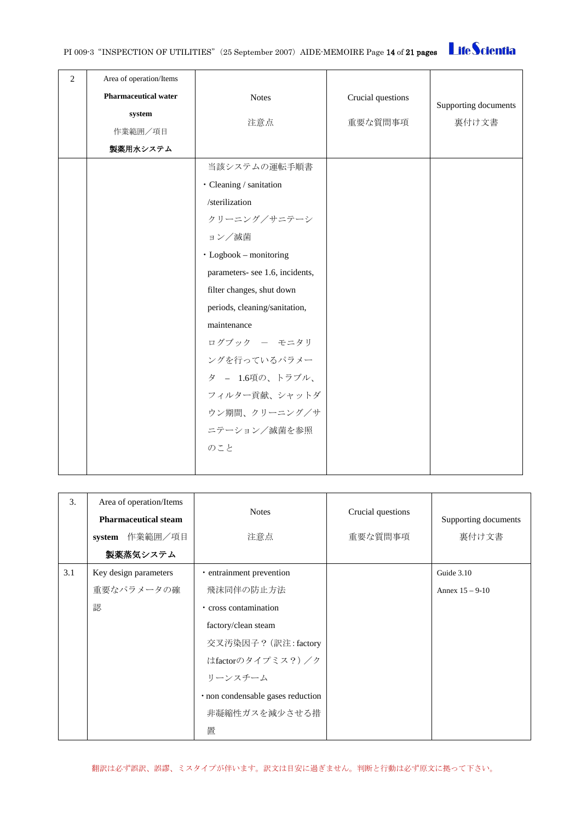| $\overline{2}$ | Area of operation/Items     |                                                 |                   |                      |  |
|----------------|-----------------------------|-------------------------------------------------|-------------------|----------------------|--|
|                | <b>Pharmaceutical water</b> | <b>Notes</b>                                    | Crucial questions |                      |  |
|                | system                      |                                                 |                   | Supporting documents |  |
|                | 作業範囲/項目                     | 注意点                                             | 重要な質問事項           | 裏付け文書                |  |
|                | 製薬用水システム                    |                                                 |                   |                      |  |
|                |                             | 当該システムの運転手順書                                    |                   |                      |  |
|                |                             | · Cleaning / sanitation                         |                   |                      |  |
|                |                             | /sterilization                                  |                   |                      |  |
|                |                             | クリーニング/サニテーシ                                    | ョン/滅菌             |                      |  |
|                |                             |                                                 |                   |                      |  |
|                |                             | $\cdot$ Logbook – monitoring                    |                   |                      |  |
|                |                             | parameters- see 1.6, incidents,                 |                   |                      |  |
|                |                             | filter changes, shut down                       |                   |                      |  |
|                |                             | periods, cleaning/sanitation,                   |                   |                      |  |
|                |                             | maintenance                                     |                   |                      |  |
|                |                             | ログブック ー モニタリ<br>ングを行っているパラメー<br>タ - 1.6項の、トラブル、 |                   |                      |  |
|                |                             |                                                 |                   |                      |  |
|                |                             |                                                 |                   |                      |  |
|                |                             | フィルター貢献、シャットダ                                   |                   |                      |  |
|                |                             | ウン期間、クリーニング/サ                                   |                   |                      |  |
|                |                             | ニテーション/滅菌を参照                                    |                   |                      |  |
|                |                             | のこと                                             |                   |                      |  |
|                |                             |                                                 |                   |                      |  |

| 3.  | Area of operation/Items<br><b>Pharmaceutical steam</b><br>作業範囲/項目<br>system<br>製薬蒸気システム | <b>Notes</b><br>注意点                                                                                                                                                              | Crucial questions<br>重要な質問事項 | Supporting documents<br>裏付け文書     |
|-----|-----------------------------------------------------------------------------------------|----------------------------------------------------------------------------------------------------------------------------------------------------------------------------------|------------------------------|-----------------------------------|
| 3.1 | Key design parameters<br>重要なパラメータの確<br>認                                                | · entrainment prevention<br>飛沫同伴の防止方法<br>· cross contamination<br>factory/clean steam<br>交叉汚染因子?(訳注:factory<br>はfactorのタイプミス?)/ク<br>リーンスチーム<br>· non condensable gases reduction |                              | Guide 3.10<br>Annex $15 - 9 - 10$ |
|     |                                                                                         | 非凝縮性ガスを減少させる措<br>置                                                                                                                                                               |                              |                                   |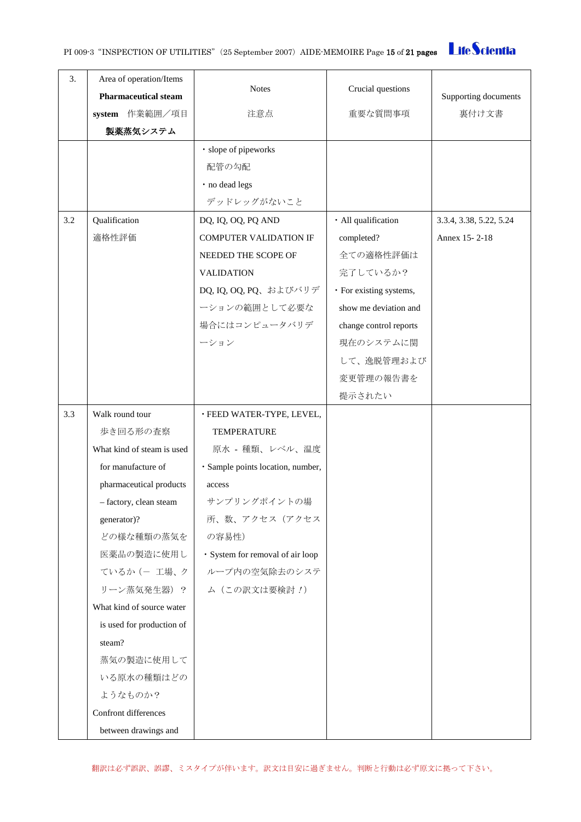PI 009-3 "INSPECTION OF UTILITIES" (25 September 2007) AIDE-MEMOIRE Page 15 of 21 pages life Scientia

| 3.  | Area of operation/Items<br><b>Pharmaceutical steam</b> | <b>Notes</b>                      | Crucial questions       | Supporting documents    |
|-----|--------------------------------------------------------|-----------------------------------|-------------------------|-------------------------|
|     | system 作業範囲/項目                                         | 注意点                               | 重要な質問事項                 | 裏付け文書                   |
|     | 製薬蒸気システム                                               |                                   |                         |                         |
|     |                                                        | · slope of pipeworks              |                         |                         |
|     |                                                        | 配管の勾配                             |                         |                         |
|     |                                                        | · no dead legs                    |                         |                         |
|     |                                                        | デッドレッグがないこと                       |                         |                         |
| 3.2 | Qualification                                          | DQ, IQ, OQ, PQ AND                | · All qualification     | 3.3.4, 3.38, 5.22, 5.24 |
|     | 適格性評価                                                  | <b>COMPUTER VALIDATION IF</b>     | completed?              | Annex 15-2-18           |
|     |                                                        | NEEDED THE SCOPE OF               | 全ての適格性評価は               |                         |
|     |                                                        | <b>VALIDATION</b>                 | 完了しているか?                |                         |
|     |                                                        | DQ, IQ, OQ, PQ、およびバリデ             | · For existing systems, |                         |
|     |                                                        | ーションの範囲として必要な                     | show me deviation and   |                         |
|     |                                                        | 場合にはコンピュータバリデ                     | change control reports  |                         |
|     |                                                        | ーション                              | 現在のシステムに関               |                         |
|     |                                                        |                                   | して、逸脱管理および              |                         |
|     |                                                        |                                   | 変更管理の報告書を               |                         |
|     |                                                        |                                   | 提示されたい                  |                         |
| 3.3 | Walk round tour                                        | · FEED WATER-TYPE, LEVEL,         |                         |                         |
|     | 歩き回る形の査察                                               | <b>TEMPERATURE</b>                |                         |                         |
|     | What kind of steam is used                             | 原水 - 種類、レベル、温度                    |                         |                         |
|     | for manufacture of                                     | · Sample points location, number, |                         |                         |
|     | pharmaceutical products                                | access                            |                         |                         |
|     | - factory, clean steam                                 | サンプリングポイントの場                      |                         |                         |
|     | generator)?                                            | 所、数、アクセス(アクセス                     |                         |                         |
|     | どの様な種類の蒸気を                                             | の容易性)                             |                         |                         |
|     | 医薬品の製造に使用し                                             | · System for removal of air loop  |                         |                         |
|     | ているか (一工場、ク                                            | ループ内の空気除去のシステ                     |                         |                         |
|     | リーン蒸気発生器)?                                             | ム (この訳文は要検討!)                     |                         |                         |
|     | What kind of source water                              |                                   |                         |                         |
|     | is used for production of                              |                                   |                         |                         |
|     | steam?                                                 |                                   |                         |                         |
|     | 蒸気の製造に使用して                                             |                                   |                         |                         |
|     | いる原水の種類はどの                                             |                                   |                         |                         |
|     | ようなものか?                                                |                                   |                         |                         |
|     | Confront differences                                   |                                   |                         |                         |
|     | between drawings and                                   |                                   |                         |                         |

翻訳は必ず誤訳、誤謬、ミスタイプが伴います。訳文は目安に過ぎません。判断と行動は必ず原文に拠って下さい。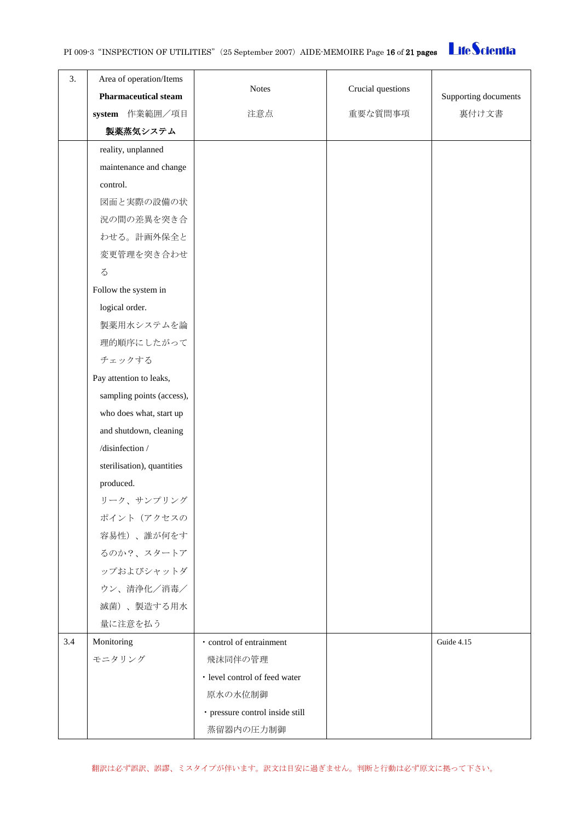| 3.  | Area of operation/Items     | <b>Notes</b>                    | Crucial questions |                      |
|-----|-----------------------------|---------------------------------|-------------------|----------------------|
|     | <b>Pharmaceutical steam</b> |                                 |                   | Supporting documents |
|     | system 作業範囲/項目              | 注意点                             | 重要な質問事項           | 裏付け文書                |
|     | 製薬蒸気システム                    |                                 |                   |                      |
|     | reality, unplanned          |                                 |                   |                      |
|     | maintenance and change      |                                 |                   |                      |
|     | control.                    |                                 |                   |                      |
|     | 図面と実際の設備の状                  |                                 |                   |                      |
|     | 況の間の差異を突き合                  |                                 |                   |                      |
|     | わせる。計画外保全と                  |                                 |                   |                      |
|     | 変更管理を突き合わせ                  |                                 |                   |                      |
|     | $\zeta$                     |                                 |                   |                      |
|     | Follow the system in        |                                 |                   |                      |
|     | logical order.              |                                 |                   |                      |
|     | 製薬用水システムを論                  |                                 |                   |                      |
|     | 理的順序にしたがって                  |                                 |                   |                      |
|     | チェックする                      |                                 |                   |                      |
|     | Pay attention to leaks,     |                                 |                   |                      |
|     | sampling points (access),   |                                 |                   |                      |
|     | who does what, start up     |                                 |                   |                      |
|     | and shutdown, cleaning      |                                 |                   |                      |
|     | /disinfection/              |                                 |                   |                      |
|     | sterilisation), quantities  |                                 |                   |                      |
|     | produced.                   |                                 |                   |                      |
|     | リーク、サンプリング                  |                                 |                   |                      |
|     | ポイント (アクセスの                 |                                 |                   |                      |
|     | 容易性)、誰が何をす                  |                                 |                   |                      |
|     | るのか?、スタートア                  |                                 |                   |                      |
|     | ップおよびシャットダ                  |                                 |                   |                      |
|     | ウン、清浄化/消毒/                  |                                 |                   |                      |
|     | 滅菌)、製造する用水                  |                                 |                   |                      |
|     | 量に注意を払う                     |                                 |                   |                      |
| 3.4 | Monitoring                  | · control of entrainment        |                   | Guide 4.15           |
|     | モニタリング                      | 飛沫同伴の管理                         |                   |                      |
|     |                             | · level control of feed water   |                   |                      |
|     |                             | 原水の水位制御                         |                   |                      |
|     |                             | · pressure control inside still |                   |                      |
|     |                             | 蒸留器内の圧力制御                       |                   |                      |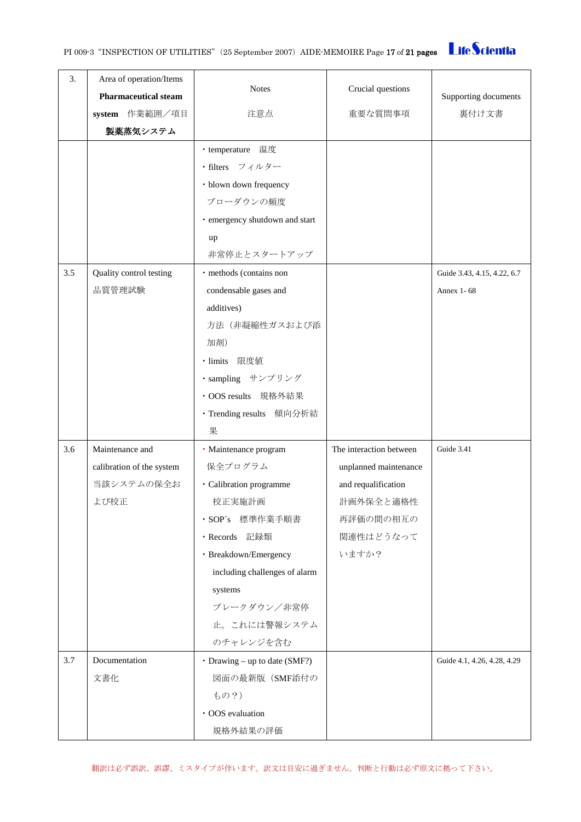| 3.  | Area of operation/Items<br><b>Pharmaceutical steam</b><br>system 作業範囲/項目<br>製薬蒸気システム                                  | <b>Notes</b><br>注意点                                                                                                                                                                                                        | Crucial questions<br>重要な質問事項                                                                                            | Supporting documents<br>裏付け文書             |
|-----|-----------------------------------------------------------------------------------------------------------------------|----------------------------------------------------------------------------------------------------------------------------------------------------------------------------------------------------------------------------|-------------------------------------------------------------------------------------------------------------------------|-------------------------------------------|
|     |                                                                                                                       | · temperature 温度<br>・filters フィルター<br>· blown down frequency<br>ブローダウンの頻度<br>· emergency shutdown and start<br>up<br>非常停止とスタートアップ                                                                                          |                                                                                                                         |                                           |
| 3.5 | Quality control testing<br>品質管理試験                                                                                     | · methods (contains non<br>condensable gases and<br>additives)<br>方法(非凝縮性ガスおよび添<br>加剤)<br>限度値<br>· limits<br>· sampling サンプリング<br>· OOS results 規格外結果<br>· Trending results 傾向分析結<br>果                                     |                                                                                                                         | Guide 3.43, 4.15, 4.22, 6.7<br>Annex 1-68 |
| 3.6 | Maintenance and<br>calibration of the system<br>当該システムの保全お<br>よび校正                                                    | · Maintenance program<br>保全プログラム<br>· Calibration programme<br>校正実施計画<br>· SOP's 標準作業手順書<br>· Records 記録類<br>· Breakdown/Emergency<br>including challenges of alarm<br>systems<br>ブレークダウン/非常停<br>止。これには警報システム<br>のチャレンジを含む | The interaction between<br>unplanned maintenance<br>and requalification<br>計画外保全と適格性<br>再評価の間の相互の<br>関連性はどうなって<br>いますか? | Guide 3.41                                |
| 3.7 | Documentation<br>$\cdot$ Drawing – up to date (SMF?)<br>文書化<br>図面の最新版 (SMF添付の<br>もの?)<br>· OOS evaluation<br>規格外結果の評価 |                                                                                                                                                                                                                            |                                                                                                                         | Guide 4.1, 4.26, 4.28, 4.29               |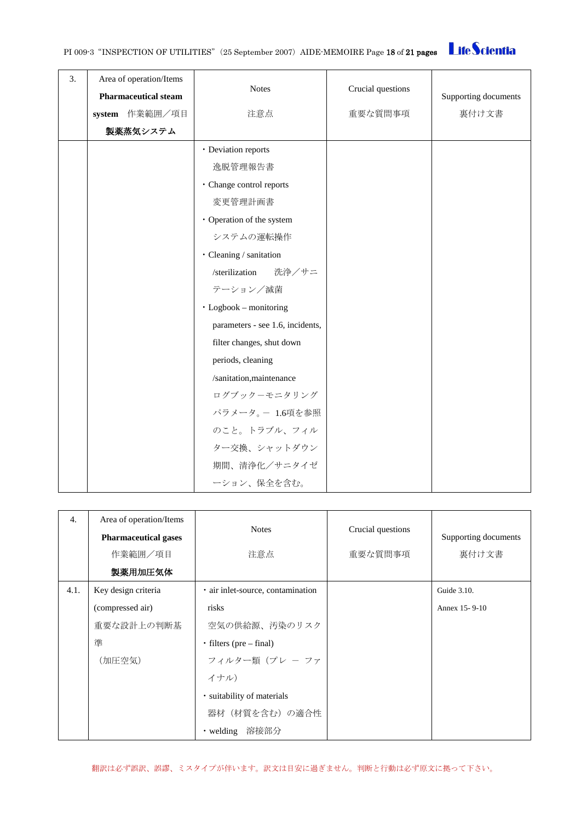| 3. | Area of operation/Items<br><b>Pharmaceutical steam</b><br>system 作業範囲/項目 | <b>Notes</b><br>注意点                                                                                                                                                                                                                                                                                                                                                                                                   | Crucial questions<br>重要な質問事項 | Supporting documents<br>裏付け文書 |
|----|--------------------------------------------------------------------------|-----------------------------------------------------------------------------------------------------------------------------------------------------------------------------------------------------------------------------------------------------------------------------------------------------------------------------------------------------------------------------------------------------------------------|------------------------------|-------------------------------|
|    | 製薬蒸気システム                                                                 |                                                                                                                                                                                                                                                                                                                                                                                                                       |                              |                               |
|    |                                                                          | · Deviation reports<br>逸脱管理報告書<br>· Change control reports<br>変更管理計画書<br>• Operation of the system<br>システムの運転操作<br>· Cleaning / sanitation<br>/sterilization<br>洗浄/サニ<br>テーション/滅菌<br>$\cdot$ Logbook – monitoring<br>parameters - see 1.6, incidents,<br>filter changes, shut down<br>periods, cleaning<br>/sanitation,maintenance<br>ログブックーモニタリング<br>パラメータ。ー 1.6項を参照<br>のこと。トラブル、フィル<br>ター交換、シャットダウン<br>期間、清浄化/サニタイゼ |                              |                               |
|    |                                                                          | ーション、保全を含む。                                                                                                                                                                                                                                                                                                                                                                                                           |                              |                               |

| $\overline{4}$ . | Area of operation/Items<br><b>Pharmaceutical gases</b> | <b>Notes</b><br>注意点               | Crucial questions | Supporting documents |
|------------------|--------------------------------------------------------|-----------------------------------|-------------------|----------------------|
|                  | 作業範囲/項目<br>製薬用加圧気体                                     |                                   | 重要な質問事項           | 裏付け文書                |
| 4.1.             | Key design criteria                                    | · air inlet-source, contamination | Guide 3.10.       |                      |
|                  | (compressed air)                                       | risks                             |                   | Annex 15-9-10        |
|                  | 重要な設計上の判断基                                             | 空気の供給源、汚染のリスク                     |                   |                      |
|                  | 準                                                      | $\cdot$ filters (pre – final)     |                   |                      |
|                  | (加圧空気)                                                 | フィルター類 (プレ ー ファ                   |                   |                      |
|                  |                                                        | イナル)                              |                   |                      |
|                  |                                                        | · suitability of materials        |                   |                      |
|                  |                                                        | 器材(材質を含む)の適合性                     |                   |                      |
|                  |                                                        | ・welding 溶接部分                     |                   |                      |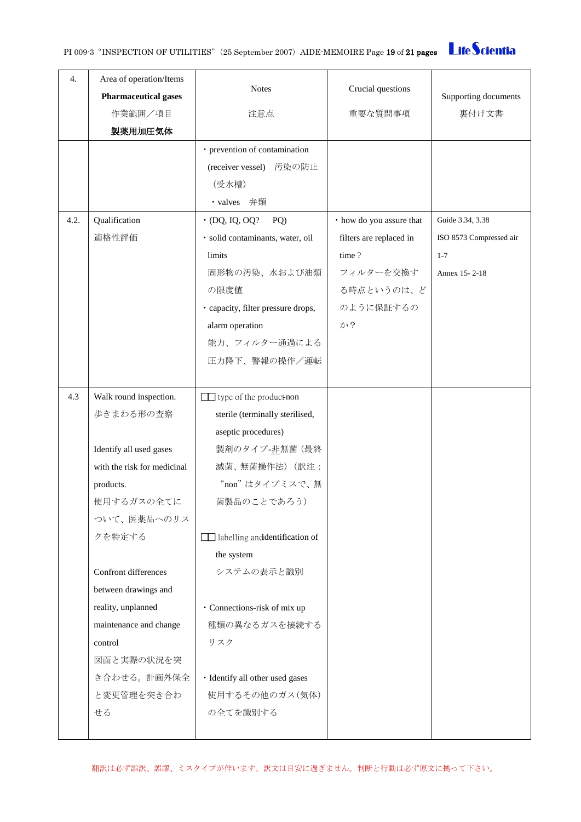| 4.   | Area of operation/Items<br><b>Pharmaceutical gases</b><br>作業範囲/項目<br>製薬用加圧気体                                                                                                                                                                                                                                  | <b>Notes</b><br>注意点                                                                                                                                                                                                                                                                                                                                | Crucial questions<br>重要な質問事項 | Supporting documents<br>裏付け文書                                |
|------|---------------------------------------------------------------------------------------------------------------------------------------------------------------------------------------------------------------------------------------------------------------------------------------------------------------|----------------------------------------------------------------------------------------------------------------------------------------------------------------------------------------------------------------------------------------------------------------------------------------------------------------------------------------------------|------------------------------|--------------------------------------------------------------|
|      |                                                                                                                                                                                                                                                                                                               | · prevention of contamination<br>(receiver vessel) 汚染の防止<br>(受水槽)<br>· valves 弁類                                                                                                                                                                                                                                                                   |                              |                                                              |
| 4.2. | Qualification<br>適格性評価                                                                                                                                                                                                                                                                                        | $\cdot$ (DQ, IQ, OQ?<br>· how do you assure that<br>PQ)<br>· solid contaminants, water, oil<br>filters are replaced in<br>time?<br>limits<br>$1 - 7$<br>固形物の汚染、水および油類<br>フィルターを交換す<br>の限度値<br>る時点というのは、ど<br>のように保証するの<br>· capacity, filter pressure drops,<br>か?<br>alarm operation<br>能力、フィルター通過による<br>圧力降下、警報の操作/運転                             |                              | Guide 3.34, 3.38<br>ISO 8573 Compressed air<br>Annex 15-2-18 |
| 4.3  | Walk round inspection.<br>歩きまわる形の査察<br>Identify all used gases<br>with the risk for medicinal<br>products.<br>使用するガスの全てに<br>ついて、医薬品へのリス<br>クを特定する<br>Confront differences<br>between drawings and<br>reality, unplanned<br>maintenance and change<br>control<br>図面と実際の状況を突<br>き合わせる。計画外保全<br>と変更管理を突き合わ<br>せる | $\Box$ type of the production<br>sterile (terminally sterilised,<br>aseptic procedures)<br>製剤のタイプ-非無菌 (最終<br>滅菌、無菌操作法) (訳注:<br>"non"はタイプミスで、無<br>菌製品のことであろう)<br>abelling and dentification of<br>the system<br>システムの表示と識別<br>· Connections-risk of mix up<br>種類の異なるガスを接続する<br>リスク<br>· Identify all other used gases<br>使用するその他のガス(気体)<br>の全てを識別する |                              |                                                              |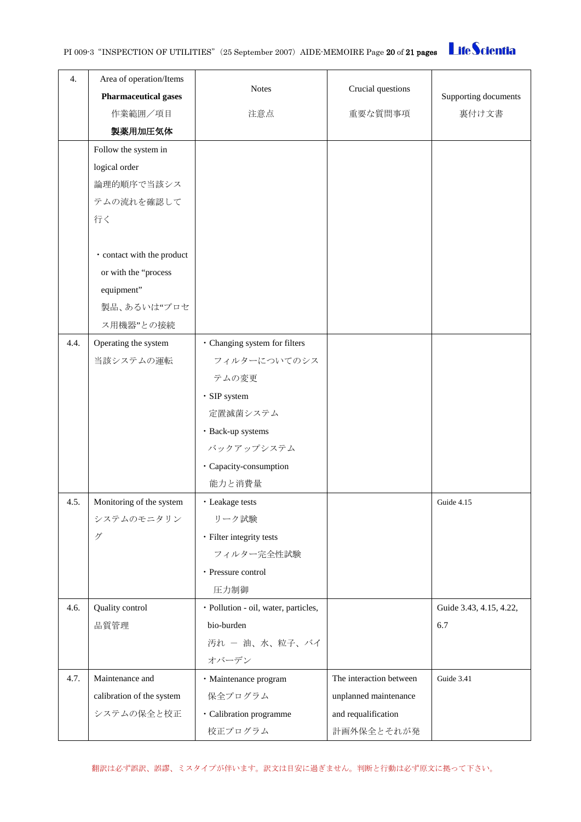PI 009-3 "INSPECTION OF UTILITIES" (25 September 2007) AIDE-MEMOIRE Page 20 of 21 pages **Life Scientia** 

| 4.   | Area of operation/Items<br><b>Pharmaceutical gases</b><br>作業範囲/項目 | <b>Notes</b><br>注意点                  | Crucial questions<br>重要な質問事項 | Supporting documents<br>裏付け文書 |
|------|-------------------------------------------------------------------|--------------------------------------|------------------------------|-------------------------------|
|      | 製薬用加圧気体                                                           |                                      |                              |                               |
|      | Follow the system in                                              |                                      |                              |                               |
|      | logical order                                                     |                                      |                              |                               |
|      | 論理的順序で当該シス                                                        |                                      |                              |                               |
|      | テムの流れを確認して                                                        |                                      |                              |                               |
|      | 行く                                                                |                                      |                              |                               |
|      |                                                                   |                                      |                              |                               |
|      | · contact with the product                                        |                                      |                              |                               |
|      | or with the "process                                              |                                      |                              |                               |
|      | equipment"                                                        |                                      |                              |                               |
|      | 製品、あるいは"プロセ                                                       |                                      |                              |                               |
|      | ス用機器"との接続                                                         |                                      |                              |                               |
| 4.4. | Operating the system                                              | · Changing system for filters        |                              |                               |
|      | 当該システムの運転                                                         | フィルターについてのシス                         |                              |                               |
|      |                                                                   | テムの変更                                |                              |                               |
|      |                                                                   | · SIP system                         |                              |                               |
|      |                                                                   | 定置滅菌システム                             |                              |                               |
|      |                                                                   | · Back-up systems                    |                              |                               |
|      |                                                                   | バックアップシステム                           |                              |                               |
|      |                                                                   | · Capacity-consumption               |                              |                               |
|      |                                                                   | 能力と消費量                               |                              |                               |
| 4.5. | Monitoring of the system                                          | · Leakage tests                      |                              | Guide 4.15                    |
|      | システムのモニタリン                                                        | リーク試験                                |                              |                               |
|      | グ                                                                 | · Filter integrity tests             |                              |                               |
|      |                                                                   | フィルター完全性試験                           |                              |                               |
|      |                                                                   | · Pressure control                   |                              |                               |
|      |                                                                   | 圧力制御                                 |                              |                               |
| 4.6. | Quality control                                                   | · Pollution - oil, water, particles, |                              | Guide 3.43, 4.15, 4.22,       |
|      | 品質管理                                                              | bio-burden                           |                              | 6.7                           |
|      |                                                                   | 汚れ – 油、水、粒子、バイ                       |                              |                               |
|      |                                                                   | オバーデン                                |                              |                               |
| 4.7. | Maintenance and                                                   | · Maintenance program                | The interaction between      | Guide 3.41                    |
|      | calibration of the system                                         | 保全プログラム                              | unplanned maintenance        |                               |
|      | システムの保全と校正                                                        | · Calibration programme              | and requalification          |                               |
|      |                                                                   | 校正プログラム<br>計画外保全とそれが発                |                              |                               |